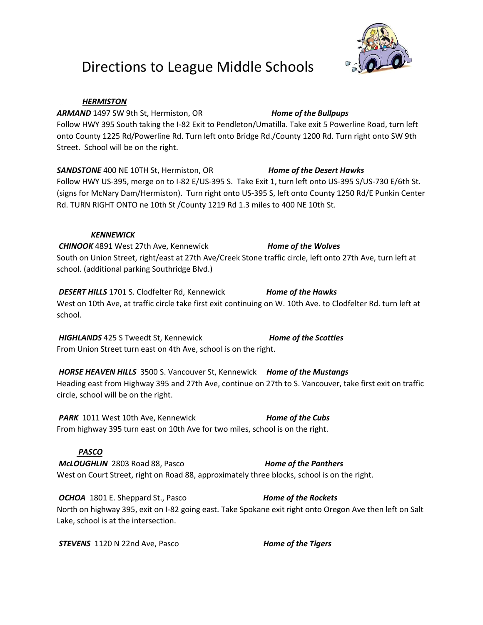# Directions to League Middle Schools



### *HERMISTON*

*ARMAND* 1497 SW 9th St, Hermiston, OR *Home of the Bullpups* Follow HWY 395 South taking the I-82 Exit to Pendleton/Umatilla. Take exit 5 Powerline Road, turn left onto County 1225 Rd/Powerline Rd. Turn left onto Bridge Rd./County 1200 Rd. Turn right onto SW 9th Street. School will be on the right.

*SANDSTONE* 400 NE 10TH St, Hermiston, OR *Home of the Desert Hawks* Follow HWY US-395, merge on to I-82 E/US-395 S. Take Exit 1, turn left onto US-395 S/US-730 E/6th St. (signs for McNary Dam/Hermiston). Turn right onto US-395 S, left onto County 1250 Rd/E Punkin Center Rd. TURN RIGHT ONTO ne 10th St /County 1219 Rd 1.3 miles to 400 NE 10th St.

### *KENNEWICK*

*CHINOOK* 4891 West 27th Ave, Kennewick *Home of the Wolves* South on Union Street, right/east at 27th Ave/Creek Stone traffic circle, left onto 27th Ave, turn left at school. (additional parking Southridge Blvd.)

*DESERT HILLS* 1701 S. Clodfelter Rd, Kennewick *Home of the Hawks* West on 10th Ave, at traffic circle take first exit continuing on W. 10th Ave. to Clodfelter Rd. turn left at school.

*HIGHLANDS* 425 S Tweedt St, Kennewick *Home of the Scotties* From Union Street turn east on 4th Ave, school is on the right.

*HORSE HEAVEN HILLS* 3500 S. Vancouver St, Kennewick *Home of the Mustangs* Heading east from Highway 395 and 27th Ave, continue on 27th to S. Vancouver, take first exit on traffic circle, school will be on the right.

**PARK** 1011 West 10th Ave, Kennewick *Home of the Cubs* From highway 395 turn east on 10th Ave for two miles, school is on the right.

# *PASCO*

*McLOUGHLIN* 2803 Road 88, Pasco *Home of the Panthers* West on Court Street, right on Road 88, approximately three blocks, school is on the right.

*OCHOA* 1801 E. Sheppard St., Pasco *Home of the Rockets* North on highway 395, exit on I-82 going east. Take Spokane exit right onto Oregon Ave then left on Salt Lake, school is at the intersection.

*STEVENS* 1120 N 22nd Ave, Pasco *Home of the Tigers*